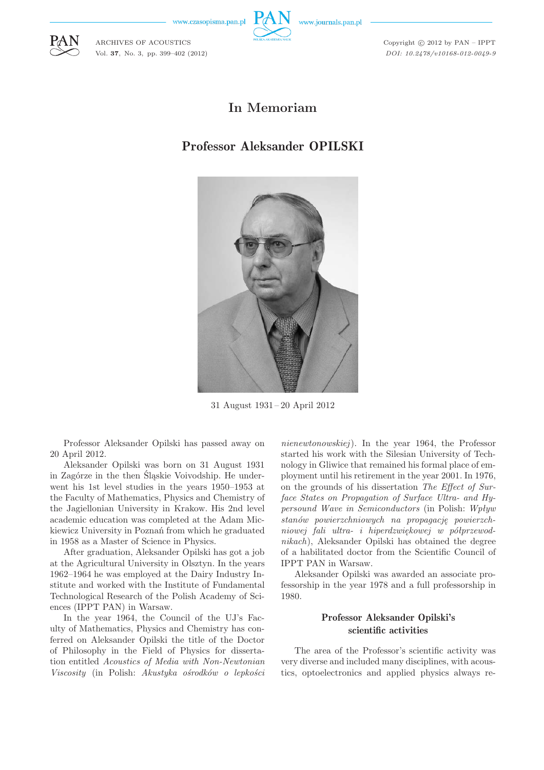www.czasopisma.pan.pl

ARCHIVES OF ACOUSTICS Vol. **37**, No. 3, pp. 399–402 (2012)



Copyright  $\odot$  2012 by PAN - IPPT *DOI: 10.2478/v10168-012-0049-9*

## **In Memoriam**

# Professor Aleksander OPILSKI



31 August 1931 – 20 April 2012

Professor Aleksander Opilski has passed away on 20 April 2012.

Aleksander Opilski was born on 31 August 1931 in Zagórze in the then Śląskie Voivodship. He underwent his 1st level studies in the years 1950–1953 at the Faculty of Mathematics, Physics and Chemistry of the Jagiellonian University in Krakow. His 2nd level academic education was completed at the Adam Mickiewicz University in Poznań from which he graduated in 1958 as a Master of Science in Physics.

After graduation, Aleksander Opilski has got a job at the Agricultural University in Olsztyn. In the years 1962–1964 he was employed at the Dairy Industry Institute and worked with the Institute of Fundamental Technological Research of the Polish Academy of Sciences (IPPT PAN) in Warsaw.

In the year 1964, the Council of the UJ's Faculty of Mathematics, Physics and Chemistry has conferred on Aleksander Opilski the title of the Doctor of Philosophy in the Field of Physics for dissertation entitled *Acoustics of Media with Non-Newtonian Viscosity* (in Polish: *Akustyka ośrodków o lepkości* *nienewtonowskiej*). In the year 1964, the Professor started his work with the Silesian University of Technology in Gliwice that remained his formal place of employment until his retirement in the year 2001. In 1976, on the grounds of his dissertation *The Effect of Surface States on Propagation of Surface Ultra- and Hypersound Wave in Semiconductors* (in Polish: *Wpływ stanów powierzchniowych na propagację powierzchniowej fali ultra- i hiperdzwiękowej w półprzewodnikach*), Aleksander Opilski has obtained the degree of a habilitated doctor from the Scientific Council of IPPT PAN in Warsaw.

Aleksander Opilski was awarded an associate professorship in the year 1978 and a full professorship in 1980.

#### Professor Aleksander Opilski's scientific activities

The area of the Professor's scientific activity was very diverse and included many disciplines, with acoustics, optoelectronics and applied physics always re-

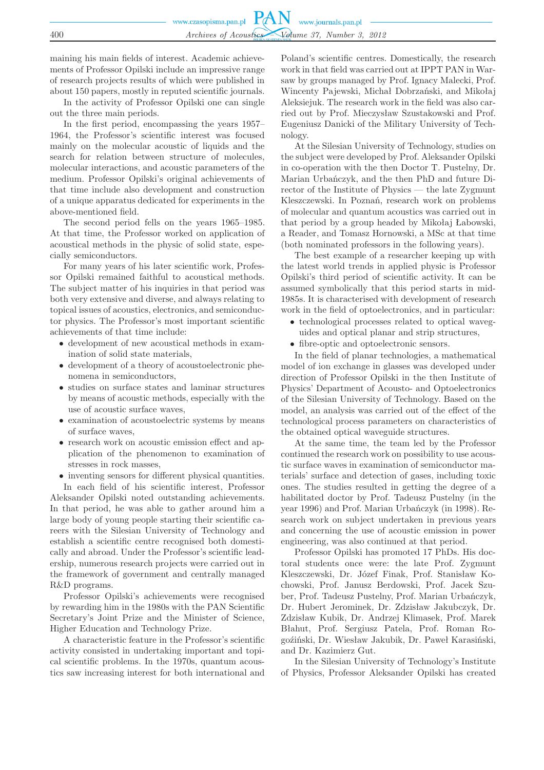maining his main fields of interest. Academic achievements of Professor Opilski include an impressive range of research projects results of which were published in about 150 papers, mostly in reputed scientific journals.

In the activity of Professor Opilski one can single out the three main periods.

In the first period, encompassing the years 1957– 1964, the Professor's scientific interest was focused mainly on the molecular acoustic of liquids and the search for relation between structure of molecules, molecular interactions, and acoustic parameters of the medium. Professor Opilski's original achievements of that time include also development and construction of a unique apparatus dedicated for experiments in the above-mentioned field.

The second period fells on the years 1965–1985. At that time, the Professor worked on application of acoustical methods in the physic of solid state, especially semiconductors.

For many years of his later scientific work, Professor Opilski remained faithful to acoustical methods. The subject matter of his inquiries in that period was both very extensive and diverse, and always relating to topical issues of acoustics, electronics, and semiconductor physics. The Professor's most important scientific achievements of that time include:

- development of new acoustical methods in examination of solid state materials,
- development of a theory of acoustoelectronic phenomena in semiconductors,
- studies on surface states and laminar structures by means of acoustic methods, especially with the use of acoustic surface waves,
- examination of acoustoelectric systems by means of surface waves,
- research work on acoustic emission effect and application of the phenomenon to examination of stresses in rock masses,
- inventing sensors for different physical quantities. In each field of his scientific interest, Professor

Aleksander Opilski noted outstanding achievements. In that period, he was able to gather around him a large body of young people starting their scientific careers with the Silesian University of Technology and establish a scientific centre recognised both domestically and abroad. Under the Professor's scientific leadership, numerous research projects were carried out in the framework of government and centrally managed R&D programs.

Professor Opilski's achievements were recognised by rewarding him in the 1980s with the PAN Scientific Secretary's Joint Prize and the Minister of Science, Higher Education and Technology Prize.

A characteristic feature in the Professor's scientific activity consisted in undertaking important and topical scientific problems. In the 1970s, quantum acoustics saw increasing interest for both international and

Poland's scientific centres. Domestically, the research work in that field was carried out at IPPT PAN in Warsaw by groups managed by Prof. Ignacy Malecki, Prof. Wincenty Pajewski, Michał Dobrzański, and Mikołaj Aleksiejuk. The research work in the field was also carried out by Prof. Mieczysław Szustakowski and Prof. Eugeniusz Danicki of the Military University of Technology.

At the Silesian University of Technology, studies on the subject were developed by Prof. Aleksander Opilski in co-operation with the then Doctor T. Pustelny, Dr. Marian Urbańczyk, and the then PhD and future Director of the Institute of Physics — the late Zygmunt Kleszczewski. In Poznań, research work on problems of molecular and quantum acoustics was carried out in that period by a group headed by Mikołaj Łabowski, a Reader, and Tomasz Hornowski, a MSc at that time (both nominated professors in the following years).

The best example of a researcher keeping up with the latest world trends in applied physic is Professor Opilski's third period of scientific activity. It can be assumed symbolically that this period starts in mid-1985s. It is characterised with development of research work in the field of optoelectronics, and in particular:

- technological processes related to optical waveguides and optical planar and strip structures,
- fibre-optic and optoelectronic sensors.

In the field of planar technologies, a mathematical model of ion exchange in glasses was developed under direction of Professor Opilski in the then Institute of Physics' Department of Acousto- and Optoelectronics of the Silesian University of Technology. Based on the model, an analysis was carried out of the effect of the technological process parameters on characteristics of the obtained optical waveguide structures.

At the same time, the team led by the Professor continued the research work on possibility to use acoustic surface waves in examination of semiconductor materials' surface and detection of gases, including toxic ones. The studies resulted in getting the degree of a habilitated doctor by Prof. Tadeusz Pustelny (in the year 1996) and Prof. Marian Urbańczyk (in 1998). Research work on subject undertaken in previous years and concerning the use of acoustic emission in power engineering, was also continued at that period.

Professor Opilski has promoted 17 PhDs. His doctoral students once were: the late Prof. Zygmunt Kleszczewski, Dr. Józef Finak, Prof. Stanisław Kochowski, Prof. Janusz Berdowski, Prof. Jacek Szuber, Prof. Tadeusz Pustelny, Prof. Marian Urbańczyk, Dr. Hubert Jerominek, Dr. Zdzisław Jakubczyk, Dr. Zdzisław Kubik, Dr. Andrzej Klimasek, Prof. Marek Błahut, Prof. Sergiusz Patela, Prof. Roman Rogoźiński, Dr. Wiesław Jakubik, Dr. Paweł Karasiński, and Dr. Kazimierz Gut.

In the Silesian University of Technology's Institute of Physics, Professor Aleksander Opilski has created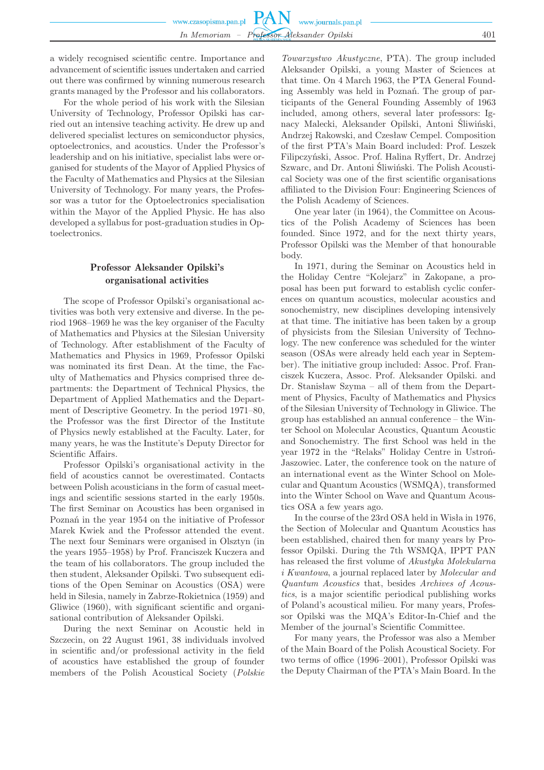a widely recognised scientific centre. Importance and advancement of scientific issues undertaken and carried out there was confirmed by winning numerous research grants managed by the Professor and his collaborators.

For the whole period of his work with the Silesian University of Technology, Professor Opilski has carried out an intensive teaching activity. He drew up and delivered specialist lectures on semiconductor physics, optoelectronics, and acoustics. Under the Professor's leadership and on his initiative, specialist labs were organised for students of the Mayor of Applied Physics of the Faculty of Mathematics and Physics at the Silesian University of Technology. For many years, the Professor was a tutor for the Optoelectronics specialisation within the Mayor of the Applied Physic. He has also developed a syllabus for post-graduation studies in Optoelectronics.

### Professor Aleksander Opilski's organisational activities

The scope of Professor Opilski's organisational activities was both very extensive and diverse. In the period 1968–1969 he was the key organiser of the Faculty of Mathematics and Physics at the Silesian University of Technology. After establishment of the Faculty of Mathematics and Physics in 1969, Professor Opilski was nominated its first Dean. At the time, the Faculty of Mathematics and Physics comprised three departments: the Department of Technical Physics, the Department of Applied Mathematics and the Department of Descriptive Geometry. In the period 1971–80, the Professor was the first Director of the Institute of Physics newly established at the Faculty. Later, for many years, he was the Institute's Deputy Director for Scientific Affairs.

Professor Opilski's organisational activity in the field of acoustics cannot be overestimated. Contacts between Polish acousticians in the form of casual meetings and scientific sessions started in the early 1950s. The first Seminar on Acoustics has been organised in Poznań in the year 1954 on the initiative of Professor Marek Kwiek and the Professor attended the event. The next four Seminars were organised in Olsztyn (in the years 1955–1958) by Prof. Franciszek Kuczera and the team of his collaborators. The group included the then student, Aleksander Opilski. Two subsequent editions of the Open Seminar on Acoustics (OSA) were held in Silesia, namely in Zabrze-Rokietnica (1959) and Gliwice (1960), with significant scientific and organisational contribution of Aleksander Opilski.

During the next Seminar on Acoustic held in Szczecin, on 22 August 1961, 38 individuals involved in scientific and/or professional activity in the field of acoustics have established the group of founder members of the Polish Acoustical Society (*Polskie*

*Towarzystwo Akustyczne*, PTA). The group included Aleksander Opilski, a young Master of Sciences at that time. On 4 March 1963, the PTA General Founding Assembly was held in Poznań. The group of participants of the General Founding Assembly of 1963 included, among others, several later professors: Ignacy Malecki, Aleksander Opilski, Antoni Śliwiński, Andrzej Rakowski, and Czesław Cempel. Composition of the first PTA's Main Board included: Prof. Leszek Filipczyński, Assoc. Prof. Halina Ryffert, Dr. Andrzej Szwarc, and Dr. Antoni Śliwiński. The Polish Acoustical Society was one of the first scientific organisations affiliated to the Division Four: Engineering Sciences of the Polish Academy of Sciences.

One year later (in 1964), the Committee on Acoustics of the Polish Academy of Sciences has been founded. Since 1972, and for the next thirty years, Professor Opilski was the Member of that honourable body.

In 1971, during the Seminar on Acoustics held in the Holiday Centre "Kolejarz" in Zakopane, a proposal has been put forward to establish cyclic conferences on quantum acoustics, molecular acoustics and sonochemistry, new disciplines developing intensively at that time. The initiative has been taken by a group of physicists from the Silesian University of Technology. The new conference was scheduled for the winter season (OSAs were already held each year in September). The initiative group included: Assoc. Prof. Franciszek Kuczera, Assoc. Prof. Aleksander Opilski. and Dr. Stanisław Szyma – all of them from the Department of Physics, Faculty of Mathematics and Physics of the Silesian University of Technology in Gliwice. The group has established an annual conference – the Winter School on Molecular Acoustics, Quantum Acoustic and Sonochemistry. The first School was held in the year 1972 in the "Relaks" Holiday Centre in Ustroń-Jaszowiec. Later, the conference took on the nature of an international event as the Winter School on Molecular and Quantum Acoustics (WSMQA), transformed into the Winter School on Wave and Quantum Acoustics OSA a few years ago.

In the course of the 23rd OSA held in Wisła in 1976, the Section of Molecular and Quantum Acoustics has been established, chaired then for many years by Professor Opilski. During the 7th WSMQA, IPPT PAN has released the first volume of *Akustyka Molekularna i Kwantowa*, a journal replaced later by *Molecular and Quantum Acoustics* that, besides *Archives of Acoustics*, is a major scientific periodical publishing works of Poland's acoustical milieu. For many years, Professor Opilski was the MQA's Editor-In-Chief and the Member of the journal's Scientific Committee.

For many years, the Professor was also a Member of the Main Board of the Polish Acoustical Society. For two terms of office (1996–2001), Professor Opilski was the Deputy Chairman of the PTA's Main Board. In the